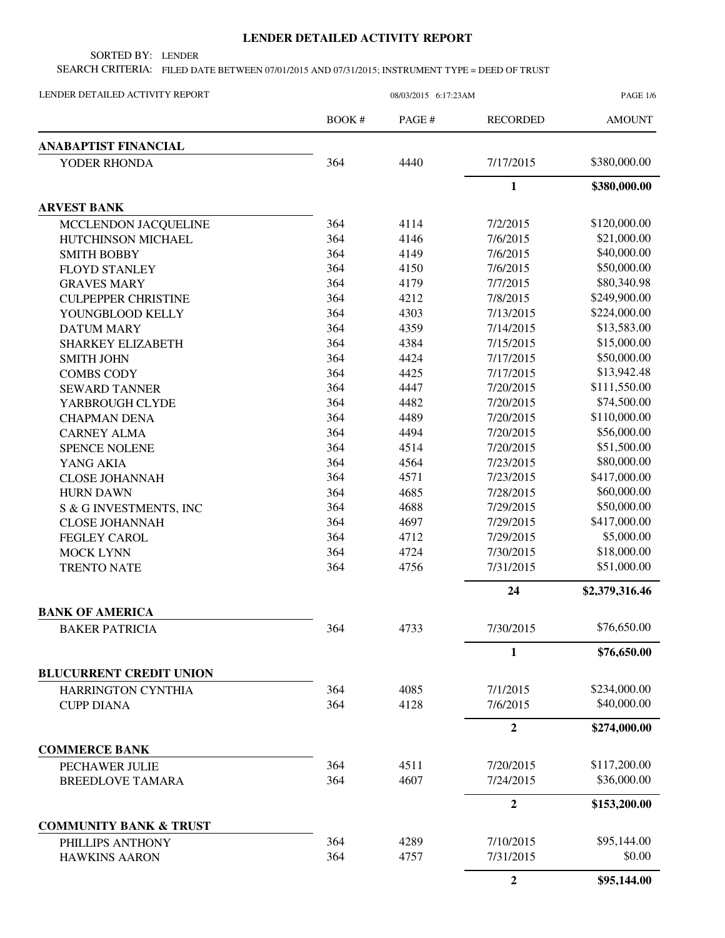## **LENDER DETAILED ACTIVITY REPORT**

SORTED BY: LENDER

SEARCH CRITERIA: FILED DATE BETWEEN 07/01/2015 AND 07/31/2015; INSTRUMENT TYPE = DEED OF TRUST

| LENDER DETAILED ACTIVITY REPORT                | 08/03/2015 6:17:23AM |        |                 | <b>PAGE 1/6</b> |
|------------------------------------------------|----------------------|--------|-----------------|-----------------|
|                                                | BOOK #               | PAGE # | <b>RECORDED</b> | <b>AMOUNT</b>   |
| <b>ANABAPTIST FINANCIAL</b>                    |                      |        |                 |                 |
| YODER RHONDA                                   | 364                  | 4440   | 7/17/2015       | \$380,000.00    |
|                                                |                      |        | $\mathbf{1}$    | \$380,000.00    |
| <b>ARVEST BANK</b>                             |                      |        |                 |                 |
| MCCLENDON JACQUELINE                           | 364                  | 4114   | 7/2/2015        | \$120,000.00    |
| HUTCHINSON MICHAEL                             | 364                  | 4146   | 7/6/2015        | \$21,000.00     |
| <b>SMITH BOBBY</b>                             | 364                  | 4149   | 7/6/2015        | \$40,000.00     |
| <b>FLOYD STANLEY</b>                           | 364                  | 4150   | 7/6/2015        | \$50,000.00     |
| <b>GRAVES MARY</b>                             | 364                  | 4179   | 7/7/2015        | \$80,340.98     |
| <b>CULPEPPER CHRISTINE</b>                     | 364                  | 4212   | 7/8/2015        | \$249,900.00    |
| YOUNGBLOOD KELLY                               | 364                  | 4303   | 7/13/2015       | \$224,000.00    |
| <b>DATUM MARY</b>                              | 364                  | 4359   | 7/14/2015       | \$13,583.00     |
| <b>SHARKEY ELIZABETH</b>                       | 364                  | 4384   | 7/15/2015       | \$15,000.00     |
| <b>SMITH JOHN</b>                              | 364                  | 4424   | 7/17/2015       | \$50,000.00     |
| <b>COMBS CODY</b>                              | 364                  | 4425   | 7/17/2015       | \$13,942.48     |
| <b>SEWARD TANNER</b>                           | 364                  | 4447   | 7/20/2015       | \$111,550.00    |
| YARBROUGH CLYDE                                | 364                  | 4482   | 7/20/2015       | \$74,500.00     |
| <b>CHAPMAN DENA</b>                            | 364                  | 4489   | 7/20/2015       | \$110,000.00    |
| <b>CARNEY ALMA</b>                             | 364                  | 4494   | 7/20/2015       | \$56,000.00     |
| <b>SPENCE NOLENE</b>                           | 364                  | 4514   | 7/20/2015       | \$51,500.00     |
| YANG AKIA                                      | 364                  | 4564   | 7/23/2015       | \$80,000.00     |
| <b>CLOSE JOHANNAH</b>                          | 364                  | 4571   | 7/23/2015       | \$417,000.00    |
| <b>HURN DAWN</b>                               | 364                  | 4685   | 7/28/2015       | \$60,000.00     |
| S & G INVESTMENTS, INC                         | 364                  | 4688   | 7/29/2015       | \$50,000.00     |
| <b>CLOSE JOHANNAH</b>                          | 364                  | 4697   | 7/29/2015       | \$417,000.00    |
| <b>FEGLEY CAROL</b>                            | 364                  | 4712   | 7/29/2015       | \$5,000.00      |
| <b>MOCK LYNN</b>                               | 364                  | 4724   | 7/30/2015       | \$18,000.00     |
| <b>TRENTO NATE</b>                             | 364                  | 4756   | 7/31/2015       | \$51,000.00     |
|                                                |                      |        | 24              | \$2,379,316.46  |
| <b>BANK OF AMERICA</b>                         |                      |        |                 |                 |
| <b>BAKER PATRICIA</b>                          | 364                  | 4733   | 7/30/2015       | \$76,650.00     |
|                                                |                      |        | $\mathbf{1}$    | \$76,650.00     |
| <b>BLUCURRENT CREDIT UNION</b>                 |                      |        |                 |                 |
| <b>HARRINGTON CYNTHIA</b><br><b>CUPP DIANA</b> | 364                  | 4085   | 7/1/2015        | \$234,000.00    |
|                                                | 364                  | 4128   | 7/6/2015        | \$40,000.00     |
|                                                |                      |        | $\overline{2}$  | \$274,000.00    |
| <b>COMMERCE BANK</b>                           |                      |        |                 |                 |
| PECHAWER JULIE                                 | 364                  | 4511   | 7/20/2015       | \$117,200.00    |
| <b>BREEDLOVE TAMARA</b>                        | 364                  | 4607   | 7/24/2015       | \$36,000.00     |
|                                                |                      |        | $\overline{2}$  | \$153,200.00    |
| <b>COMMUNITY BANK &amp; TRUST</b>              |                      |        |                 |                 |
| PHILLIPS ANTHONY                               | 364                  | 4289   | 7/10/2015       | \$95,144.00     |
| <b>HAWKINS AARON</b>                           | 364                  | 4757   | 7/31/2015       | \$0.00          |
|                                                |                      |        | $\overline{2}$  | \$95,144.00     |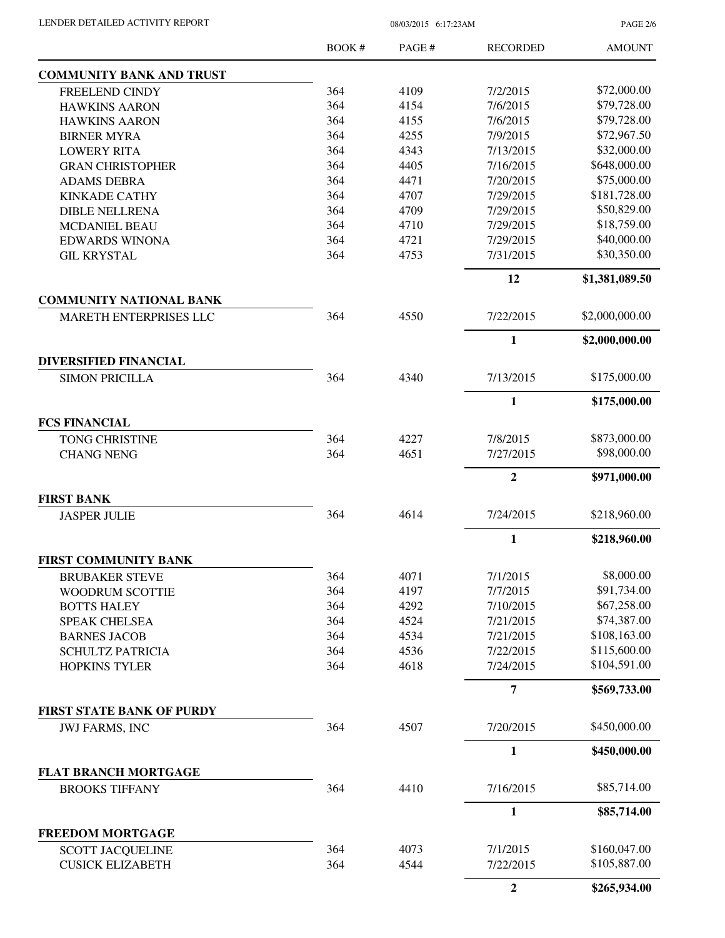LENDER DETAILED ACTIVITY REPORT 08/03/2015 6:17:23AM

PAGE 2/6

|                                  | <b>BOOK#</b> | PAGE#        | <b>RECORDED</b>        | <b>AMOUNT</b>                |
|----------------------------------|--------------|--------------|------------------------|------------------------------|
| <b>COMMUNITY BANK AND TRUST</b>  |              |              |                        |                              |
| FREELEND CINDY                   | 364          | 4109         | 7/2/2015               | \$72,000.00                  |
| <b>HAWKINS AARON</b>             | 364          | 4154         | 7/6/2015               | \$79,728.00                  |
| <b>HAWKINS AARON</b>             | 364          | 4155         | 7/6/2015               | \$79,728.00                  |
| <b>BIRNER MYRA</b>               | 364          | 4255         | 7/9/2015               | \$72,967.50                  |
| <b>LOWERY RITA</b>               | 364          | 4343         | 7/13/2015              | \$32,000.00                  |
| <b>GRAN CHRISTOPHER</b>          | 364          | 4405         | 7/16/2015              | \$648,000.00                 |
| <b>ADAMS DEBRA</b>               | 364          | 4471         | 7/20/2015              | \$75,000.00                  |
| <b>KINKADE CATHY</b>             | 364          | 4707         | 7/29/2015              | \$181,728.00                 |
| <b>DIBLE NELLRENA</b>            | 364          | 4709         | 7/29/2015              | \$50,829.00                  |
| MCDANIEL BEAU                    | 364          | 4710         | 7/29/2015              | \$18,759.00                  |
| <b>EDWARDS WINONA</b>            | 364          | 4721         | 7/29/2015              | \$40,000.00                  |
| <b>GIL KRYSTAL</b>               | 364          | 4753         | 7/31/2015              | \$30,350.00                  |
|                                  |              |              | 12                     | \$1,381,089.50               |
| <b>COMMUNITY NATIONAL BANK</b>   |              |              |                        |                              |
| MARETH ENTERPRISES LLC           | 364          | 4550         | 7/22/2015              | \$2,000,000.00               |
|                                  |              |              | 1                      | \$2,000,000.00               |
| <b>DIVERSIFIED FINANCIAL</b>     |              |              |                        | \$175,000.00                 |
| <b>SIMON PRICILLA</b>            | 364          | 4340         | 7/13/2015              |                              |
|                                  |              |              | 1                      | \$175,000.00                 |
| <b>FCS FINANCIAL</b>             |              |              |                        |                              |
| <b>TONG CHRISTINE</b>            | 364          | 4227         | 7/8/2015               | \$873,000.00                 |
| <b>CHANG NENG</b>                | 364          | 4651         | 7/27/2015              | \$98,000.00                  |
|                                  |              |              | $\overline{2}$         | \$971,000.00                 |
| <b>FIRST BANK</b>                |              |              |                        |                              |
| <b>JASPER JULIE</b>              | 364          | 4614         | 7/24/2015              | \$218,960.00                 |
|                                  |              |              | $\mathbf{1}$           | \$218,960.00                 |
| <b>FIRST COMMUNITY BANK</b>      |              |              |                        |                              |
| <b>BRUBAKER STEVE</b>            | 364          | 4071         | 7/1/2015               | \$8,000.00                   |
| WOODRUM SCOTTIE                  | 364          | 4197         | 7/7/2015               | \$91,734.00                  |
| <b>BOTTS HALEY</b>               | 364          | 4292         | 7/10/2015              | \$67,258.00                  |
| SPEAK CHELSEA                    | 364          | 4524         | 7/21/2015              | \$74,387.00                  |
| <b>BARNES JACOB</b>              | 364          | 4534         | 7/21/2015              | \$108,163.00                 |
| <b>SCHULTZ PATRICIA</b>          | 364<br>364   | 4536<br>4618 | 7/22/2015<br>7/24/2015 | \$115,600.00<br>\$104,591.00 |
| <b>HOPKINS TYLER</b>             |              |              | $\overline{7}$         |                              |
| <b>FIRST STATE BANK OF PURDY</b> |              |              |                        | \$569,733.00                 |
| <b>JWJ FARMS, INC</b>            | 364          | 4507         | 7/20/2015              | \$450,000.00                 |
|                                  |              |              | 1                      | \$450,000.00                 |
| <b>FLAT BRANCH MORTGAGE</b>      |              |              |                        |                              |
| <b>BROOKS TIFFANY</b>            | 364          | 4410         | 7/16/2015              | \$85,714.00                  |
|                                  |              |              | 1                      | \$85,714.00                  |
| <b>FREEDOM MORTGAGE</b>          |              |              |                        |                              |
| <b>SCOTT JACQUELINE</b>          | 364          | 4073         | 7/1/2015               | \$160,047.00                 |
| <b>CUSICK ELIZABETH</b>          | 364          | 4544         | 7/22/2015              | \$105,887.00                 |
|                                  |              |              | $\overline{2}$         | \$265,934.00                 |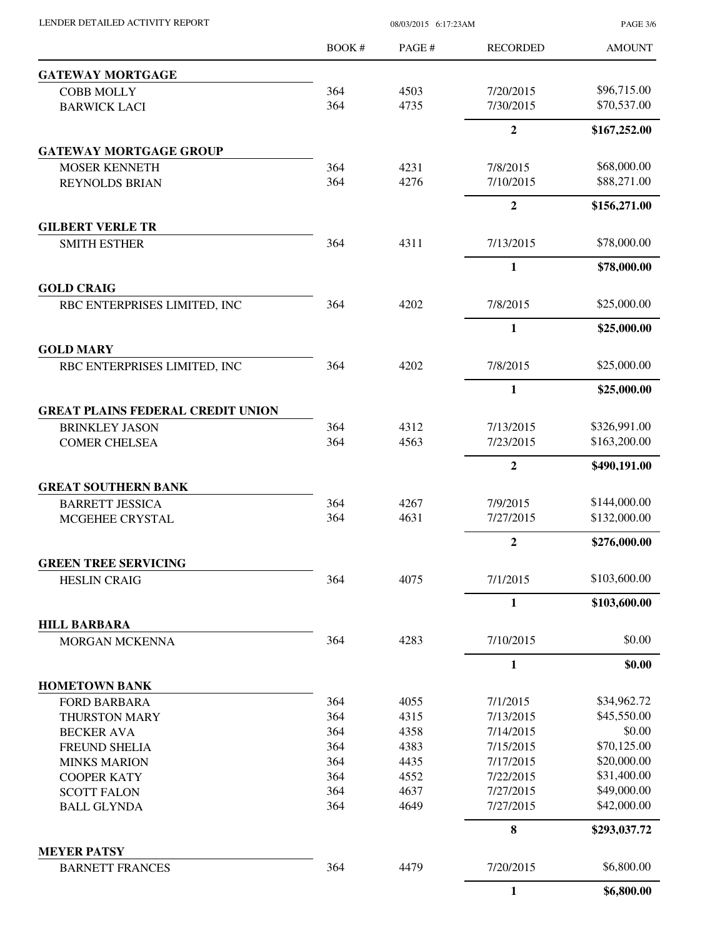| LENDER DETAILED ACTIVITY REPORT |  |
|---------------------------------|--|

08/03/2015 6:17:23AM

PAGE 3/6

|                                                  | <b>BOOK#</b> | PAGE #       | <b>RECORDED</b>        | <b>AMOUNT</b>              |
|--------------------------------------------------|--------------|--------------|------------------------|----------------------------|
| <b>GATEWAY MORTGAGE</b>                          |              |              |                        |                            |
| <b>COBB MOLLY</b>                                | 364          | 4503         | 7/20/2015              | \$96,715.00                |
| <b>BARWICK LACI</b>                              | 364          | 4735         | 7/30/2015              | \$70,537.00                |
|                                                  |              |              | $\overline{2}$         | \$167,252.00               |
| <b>GATEWAY MORTGAGE GROUP</b>                    |              |              |                        |                            |
| <b>MOSER KENNETH</b>                             | 364          | 4231         | 7/8/2015               | \$68,000.00                |
| <b>REYNOLDS BRIAN</b>                            | 364          | 4276         | 7/10/2015              | \$88,271.00                |
|                                                  |              |              | $\mathbf{2}$           | \$156,271.00               |
| <b>GILBERT VERLE TR</b>                          |              |              |                        |                            |
| <b>SMITH ESTHER</b>                              | 364          | 4311         | 7/13/2015              | \$78,000.00                |
|                                                  |              |              | 1                      | \$78,000.00                |
| <b>GOLD CRAIG</b>                                |              |              |                        |                            |
| RBC ENTERPRISES LIMITED, INC                     | 364          | 4202         | 7/8/2015               | \$25,000.00                |
|                                                  |              |              | $\mathbf{1}$           | \$25,000.00                |
| <b>GOLD MARY</b><br>RBC ENTERPRISES LIMITED, INC | 364          | 4202         | 7/8/2015               | \$25,000.00                |
|                                                  |              |              | $\mathbf{1}$           |                            |
| <b>GREAT PLAINS FEDERAL CREDIT UNION</b>         |              |              |                        | \$25,000.00                |
| <b>BRINKLEY JASON</b>                            | 364          | 4312         | 7/13/2015              | \$326,991.00               |
| <b>COMER CHELSEA</b>                             | 364          | 4563         | 7/23/2015              | \$163,200.00               |
|                                                  |              |              | $\overline{2}$         | \$490,191.00               |
| <b>GREAT SOUTHERN BANK</b>                       |              |              |                        |                            |
| <b>BARRETT JESSICA</b>                           | 364          | 4267         | 7/9/2015               | \$144,000.00               |
| MCGEHEE CRYSTAL                                  | 364          | 4631         | 7/27/2015              | \$132,000.00               |
|                                                  |              |              | $\overline{2}$         | \$276,000.00               |
| <b>GREEN TREE SERVICING</b>                      |              |              |                        |                            |
| <b>HESLIN CRAIG</b>                              | 364          | 4075         | 7/1/2015               | \$103,600.00               |
|                                                  |              |              | $\mathbf{1}$           | \$103,600.00               |
| <b>HILL BARBARA</b>                              |              |              |                        |                            |
| MORGAN MCKENNA                                   | 364          | 4283         | 7/10/2015              | \$0.00                     |
|                                                  |              |              | $\mathbf{1}$           | \$0.00                     |
| <b>HOMETOWN BANK</b>                             |              |              |                        |                            |
| <b>FORD BARBARA</b>                              | 364          | 4055         | 7/1/2015               | \$34,962.72                |
| THURSTON MARY                                    | 364          | 4315         | 7/13/2015              | \$45,550.00                |
| <b>BECKER AVA</b>                                | 364          | 4358         | 7/14/2015              | \$0.00                     |
| FREUND SHELIA                                    | 364          | 4383         | 7/15/2015              | \$70,125.00                |
| <b>MINKS MARION</b>                              | 364          | 4435         | 7/17/2015              | \$20,000.00                |
| <b>COOPER KATY</b>                               | 364          | 4552         | 7/22/2015              | \$31,400.00                |
| <b>SCOTT FALON</b><br><b>BALL GLYNDA</b>         | 364<br>364   | 4637<br>4649 | 7/27/2015<br>7/27/2015 | \$49,000.00<br>\$42,000.00 |
|                                                  |              |              | 8                      | \$293,037.72               |
| <b>MEYER PATSY</b>                               |              |              |                        |                            |
| <b>BARNETT FRANCES</b>                           | 364          | 4479         | 7/20/2015              | \$6,800.00                 |
|                                                  |              |              | $\mathbf{1}$           | \$6,800.00                 |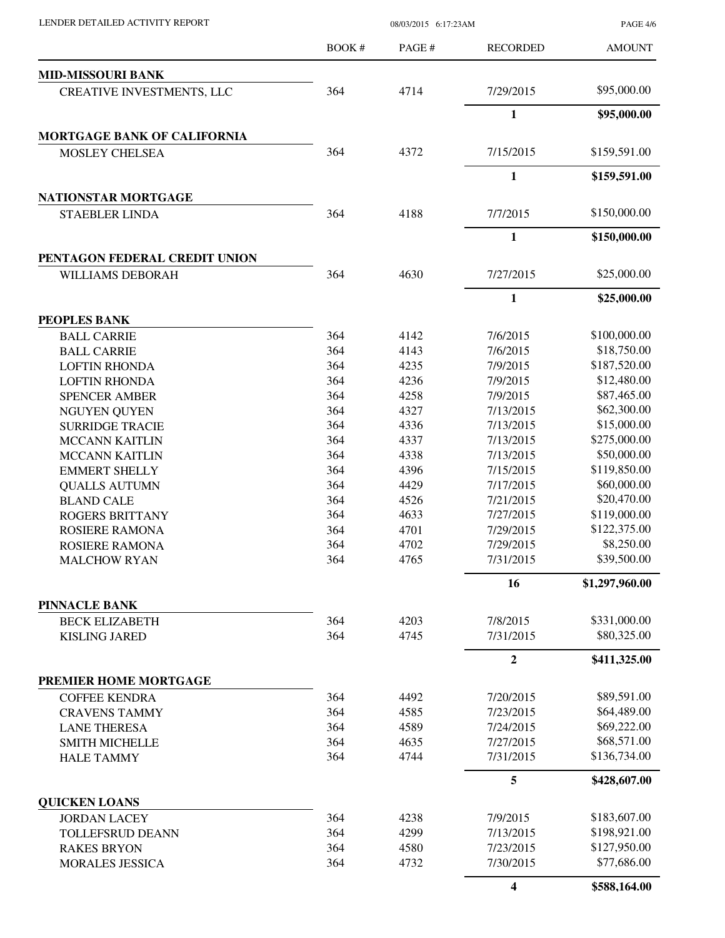| LENDER DETAILED ACTIVITY REPORT |  |
|---------------------------------|--|
|                                 |  |

08/03/2015 6:17:23AM

PAGE 4/6

|                                               | <b>BOOK#</b> | PAGE #       | <b>RECORDED</b>         | <b>AMOUNT</b>  |
|-----------------------------------------------|--------------|--------------|-------------------------|----------------|
| <b>MID-MISSOURI BANK</b>                      |              |              |                         |                |
| <b>CREATIVE INVESTMENTS, LLC</b>              | 364          | 4714         | 7/29/2015               | \$95,000.00    |
|                                               |              |              | $\mathbf{1}$            | \$95,000.00    |
| <b>MORTGAGE BANK OF CALIFORNIA</b>            |              |              |                         |                |
| <b>MOSLEY CHELSEA</b>                         | 364          | 4372         | 7/15/2015               | \$159,591.00   |
|                                               |              |              | $\mathbf{1}$            | \$159,591.00   |
| NATIONSTAR MORTGAGE                           |              |              |                         |                |
| <b>STAEBLER LINDA</b>                         | 364          | 4188         | 7/7/2015                | \$150,000.00   |
|                                               |              |              | 1                       | \$150,000.00   |
| PENTAGON FEDERAL CREDIT UNION                 |              |              |                         |                |
| <b>WILLIAMS DEBORAH</b>                       | 364          | 4630         | 7/27/2015               | \$25,000.00    |
|                                               |              |              | $\mathbf{1}$            | \$25,000.00    |
| PEOPLES BANK                                  |              |              |                         |                |
| <b>BALL CARRIE</b>                            | 364          | 4142         | 7/6/2015                | \$100,000.00   |
| <b>BALL CARRIE</b>                            | 364          | 4143         | 7/6/2015                | \$18,750.00    |
| <b>LOFTIN RHONDA</b>                          | 364          | 4235         | 7/9/2015                | \$187,520.00   |
| <b>LOFTIN RHONDA</b>                          | 364          | 4236         | 7/9/2015                | \$12,480.00    |
| <b>SPENCER AMBER</b>                          | 364          | 4258         | 7/9/2015                | \$87,465.00    |
| <b>NGUYEN QUYEN</b>                           | 364          | 4327         | 7/13/2015               | \$62,300.00    |
| <b>SURRIDGE TRACIE</b>                        | 364          | 4336         | 7/13/2015               | \$15,000.00    |
| <b>MCCANN KAITLIN</b>                         | 364          | 4337         | 7/13/2015               | \$275,000.00   |
| <b>MCCANN KAITLIN</b>                         | 364          | 4338         | 7/13/2015               | \$50,000.00    |
| <b>EMMERT SHELLY</b>                          | 364          | 4396         | 7/15/2015               | \$119,850.00   |
| <b>QUALLS AUTUMN</b>                          | 364          | 4429         | 7/17/2015               | \$60,000.00    |
| <b>BLAND CALE</b>                             | 364          | 4526         | 7/21/2015               | \$20,470.00    |
| <b>ROGERS BRITTANY</b>                        | 364          | 4633         | 7/27/2015               | \$119,000.00   |
| ROSIERE RAMONA                                | 364          | 4701         | 7/29/2015               | \$122,375.00   |
| ROSIERE RAMONA                                | 364          | 4702         | 7/29/2015               | \$8,250.00     |
| <b>MALCHOW RYAN</b>                           | 364          | 4765         | 7/31/2015               | \$39,500.00    |
|                                               |              |              | 16                      | \$1,297,960.00 |
| <b>PINNACLE BANK</b>                          |              |              |                         | \$331,000.00   |
| <b>BECK ELIZABETH</b><br><b>KISLING JARED</b> | 364<br>364   | 4203<br>4745 | 7/8/2015<br>7/31/2015   | \$80,325.00    |
|                                               |              |              | $\overline{2}$          | \$411,325.00   |
| PREMIER HOME MORTGAGE                         |              |              |                         |                |
| <b>COFFEE KENDRA</b>                          | 364          | 4492         | 7/20/2015               | \$89,591.00    |
| <b>CRAVENS TAMMY</b>                          | 364          | 4585         | 7/23/2015               | \$64,489.00    |
| <b>LANE THERESA</b>                           | 364          | 4589         | 7/24/2015               | \$69,222.00    |
| <b>SMITH MICHELLE</b>                         | 364          | 4635         | 7/27/2015               | \$68,571.00    |
| <b>HALE TAMMY</b>                             | 364          | 4744         | 7/31/2015               | \$136,734.00   |
|                                               |              |              | 5                       | \$428,607.00   |
| <b>QUICKEN LOANS</b>                          |              |              |                         |                |
| <b>JORDAN LACEY</b>                           | 364          | 4238         | 7/9/2015                | \$183,607.00   |
| <b>TOLLEFSRUD DEANN</b>                       | 364          | 4299         | 7/13/2015               | \$198,921.00   |
| <b>RAKES BRYON</b>                            | 364          | 4580         | 7/23/2015               | \$127,950.00   |
| <b>MORALES JESSICA</b>                        | 364          | 4732         | 7/30/2015               | \$77,686.00    |
|                                               |              |              | $\overline{\mathbf{4}}$ | \$588,164.00   |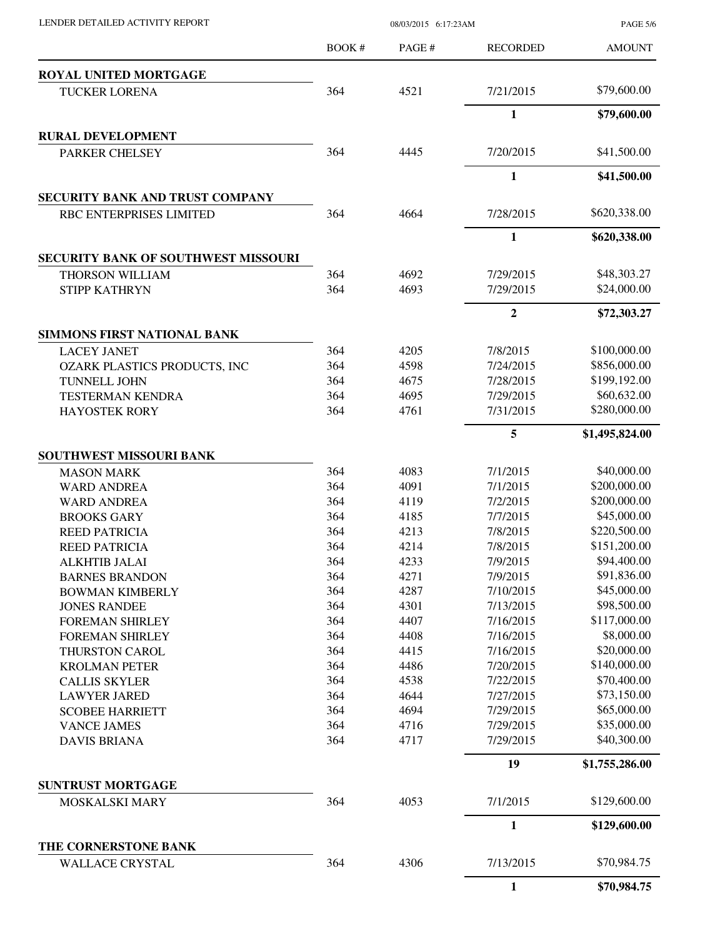LENDER DETAILED ACTIVITY REPORT 08/03/2015 6:17:23AM

PAGE 5/6

|                                            | BOOK# | PAGE# | <b>RECORDED</b> | <b>AMOUNT</b>  |
|--------------------------------------------|-------|-------|-----------------|----------------|
| ROYAL UNITED MORTGAGE                      |       |       |                 |                |
| <b>TUCKER LORENA</b>                       | 364   | 4521  | 7/21/2015       | \$79,600.00    |
|                                            |       |       | 1               | \$79,600.00    |
| <b>RURAL DEVELOPMENT</b>                   |       |       |                 |                |
| PARKER CHELSEY                             | 364   | 4445  | 7/20/2015       | \$41,500.00    |
|                                            |       |       | $\mathbf{1}$    | \$41,500.00    |
| SECURITY BANK AND TRUST COMPANY            |       |       |                 |                |
| RBC ENTERPRISES LIMITED                    | 364   | 4664  | 7/28/2015       | \$620,338.00   |
|                                            |       |       | $\mathbf{1}$    | \$620,338.00   |
| <b>SECURITY BANK OF SOUTHWEST MISSOURI</b> |       |       |                 |                |
| THORSON WILLIAM                            | 364   | 4692  | 7/29/2015       | \$48,303.27    |
| <b>STIPP KATHRYN</b>                       | 364   | 4693  | 7/29/2015       | \$24,000.00    |
|                                            |       |       | $\mathbf{2}$    | \$72,303.27    |
| <b>SIMMONS FIRST NATIONAL BANK</b>         |       |       |                 |                |
| <b>LACEY JANET</b>                         | 364   | 4205  | 7/8/2015        | \$100,000.00   |
| OZARK PLASTICS PRODUCTS, INC               | 364   | 4598  | 7/24/2015       | \$856,000.00   |
| <b>TUNNELL JOHN</b>                        | 364   | 4675  | 7/28/2015       | \$199,192.00   |
| <b>TESTERMAN KENDRA</b>                    | 364   | 4695  | 7/29/2015       | \$60,632.00    |
| <b>HAYOSTEK RORY</b>                       | 364   | 4761  | 7/31/2015       | \$280,000.00   |
|                                            |       |       | 5               | \$1,495,824.00 |
| SOUTHWEST MISSOURI BANK                    |       |       |                 |                |
| <b>MASON MARK</b>                          | 364   | 4083  | 7/1/2015        | \$40,000.00    |
| <b>WARD ANDREA</b>                         | 364   | 4091  | 7/1/2015        | \$200,000.00   |
| <b>WARD ANDREA</b>                         | 364   | 4119  | 7/2/2015        | \$200,000.00   |
| <b>BROOKS GARY</b>                         | 364   | 4185  | 7/7/2015        | \$45,000.00    |
| <b>REED PATRICIA</b>                       | 364   | 4213  | 7/8/2015        | \$220,500.00   |
| <b>REED PATRICIA</b>                       | 364   | 4214  | 7/8/2015        | \$151,200.00   |
| <b>ALKHTIB JALAI</b>                       | 364   | 4233  | 7/9/2015        | \$94,400.00    |
| <b>BARNES BRANDON</b>                      | 364   | 4271  | 7/9/2015        | \$91,836.00    |
| <b>BOWMAN KIMBERLY</b>                     | 364   | 4287  | 7/10/2015       | \$45,000.00    |
| <b>JONES RANDEE</b>                        | 364   | 4301  | 7/13/2015       | \$98,500.00    |
| <b>FOREMAN SHIRLEY</b>                     | 364   | 4407  | 7/16/2015       | \$117,000.00   |
| <b>FOREMAN SHIRLEY</b>                     | 364   | 4408  | 7/16/2015       | \$8,000.00     |
| THURSTON CAROL                             | 364   | 4415  | 7/16/2015       | \$20,000.00    |
| <b>KROLMAN PETER</b>                       | 364   | 4486  | 7/20/2015       | \$140,000.00   |
| <b>CALLIS SKYLER</b>                       | 364   | 4538  | 7/22/2015       | \$70,400.00    |
| <b>LAWYER JARED</b>                        | 364   | 4644  | 7/27/2015       | \$73,150.00    |
| <b>SCOBEE HARRIETT</b>                     | 364   | 4694  | 7/29/2015       | \$65,000.00    |
| <b>VANCE JAMES</b>                         | 364   | 4716  | 7/29/2015       | \$35,000.00    |
| <b>DAVIS BRIANA</b>                        | 364   | 4717  | 7/29/2015       | \$40,300.00    |
|                                            |       |       | 19              | \$1,755,286.00 |
| <b>SUNTRUST MORTGAGE</b>                   |       |       |                 |                |
| MOSKALSKI MARY                             | 364   | 4053  | 7/1/2015        | \$129,600.00   |
|                                            |       |       | 1               | \$129,600.00   |
| THE CORNERSTONE BANK                       | 364   | 4306  | 7/13/2015       | \$70,984.75    |
| <b>WALLACE CRYSTAL</b>                     |       |       |                 |                |
|                                            |       |       | $\mathbf{1}$    | \$70,984.75    |